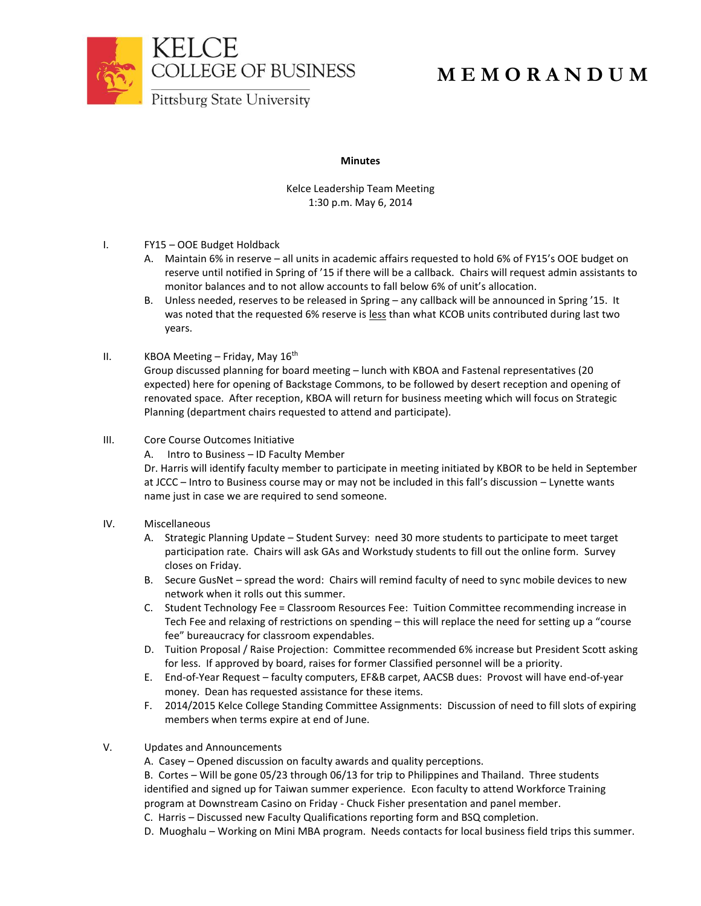



## **M E M O R A N D U M**

**Minutes**

Kelce Leadership Team Meeting 1:30 p.m. May 6, 2014

- I. FY15 OOE Budget Holdback
	- A. Maintain 6% in reserve all units in academic affairs requested to hold 6% of FY15's OOE budget on reserve until notified in Spring of '15 if there will be a callback. Chairs will request admin assistants to monitor balances and to not allow accounts to fall below 6% of unit's allocation.
	- B. Unless needed, reserves to be released in Spring any callback will be announced in Spring '15. It was noted that the requested 6% reserve is less than what KCOB units contributed during last two years.
- II. KBOA Meeting Friday, May  $16<sup>th</sup>$

Group discussed planning for board meeting – lunch with KBOA and Fastenal representatives (20 expected) here for opening of Backstage Commons, to be followed by desert reception and opening of renovated space. After reception, KBOA will return for business meeting which will focus on Strategic Planning (department chairs requested to attend and participate).

- III. Core Course Outcomes Initiative
	- A. Intro to Business ID Faculty Member

Dr. Harris will identify faculty member to participate in meeting initiated by KBOR to be held in September at JCCC – Intro to Business course may or may not be included in this fall's discussion – Lynette wants name just in case we are required to send someone.

- IV. Miscellaneous
	- A. Strategic Planning Update Student Survey: need 30 more students to participate to meet target participation rate. Chairs will ask GAs and Workstudy students to fill out the online form. Survey closes on Friday.
	- B. Secure GusNet spread the word: Chairs will remind faculty of need to sync mobile devices to new network when it rolls out this summer.
	- C. Student Technology Fee = Classroom Resources Fee: Tuition Committee recommending increase in Tech Fee and relaxing of restrictions on spending – this will replace the need for setting up a "course fee" bureaucracy for classroom expendables.
	- D. Tuition Proposal / Raise Projection: Committee recommended 6% increase but President Scott asking for less. If approved by board, raises for former Classified personnel will be a priority.
	- E. End-of-Year Request faculty computers, EF&B carpet, AACSB dues: Provost will have end-of-year money. Dean has requested assistance for these items.
	- F. 2014/2015 Kelce College Standing Committee Assignments: Discussion of need to fill slots of expiring members when terms expire at end of June.
- V. Updates and Announcements
	- A. Casey Opened discussion on faculty awards and quality perceptions.

B. Cortes – Will be gone 05/23 through 06/13 for trip to Philippines and Thailand. Three students identified and signed up for Taiwan summer experience. Econ faculty to attend Workforce Training program at Downstream Casino on Friday - Chuck Fisher presentation and panel member.

- C. Harris Discussed new Faculty Qualifications reporting form and BSQ completion.
- D. Muoghalu Working on Mini MBA program. Needs contacts for local business field trips this summer.